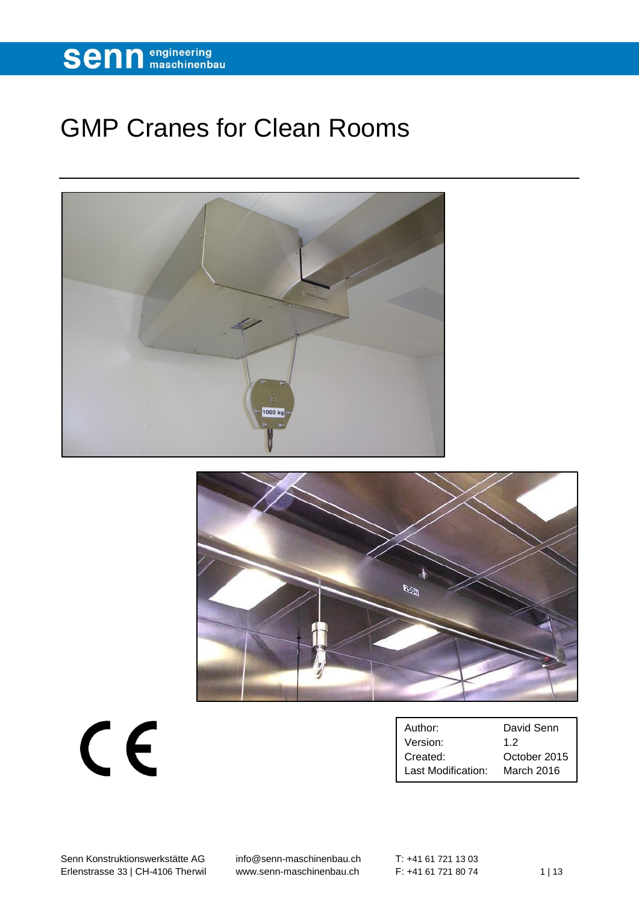

## GMP Cranes for Clean Rooms





 $C<sub>f</sub>$ 

| Author:            | David Senn                               |
|--------------------|------------------------------------------|
| Version:           | 12                                       |
| Created:           | October 2015<br>$\overline{\phantom{0}}$ |
| Last Modification: | March 2016                               |

Senn Konstruktionswerkstätte AG [info@senn-maschinenbau.ch](mailto:info@senn-maschinenbau.ch) Erlenstrasse 33 | CH-4106 Therwil [www.senn-maschinenbau.ch](http://www.senn-maschinenbau.ch/) F: +41 61 721 80 74 1 | 13

 $T: +41617211303$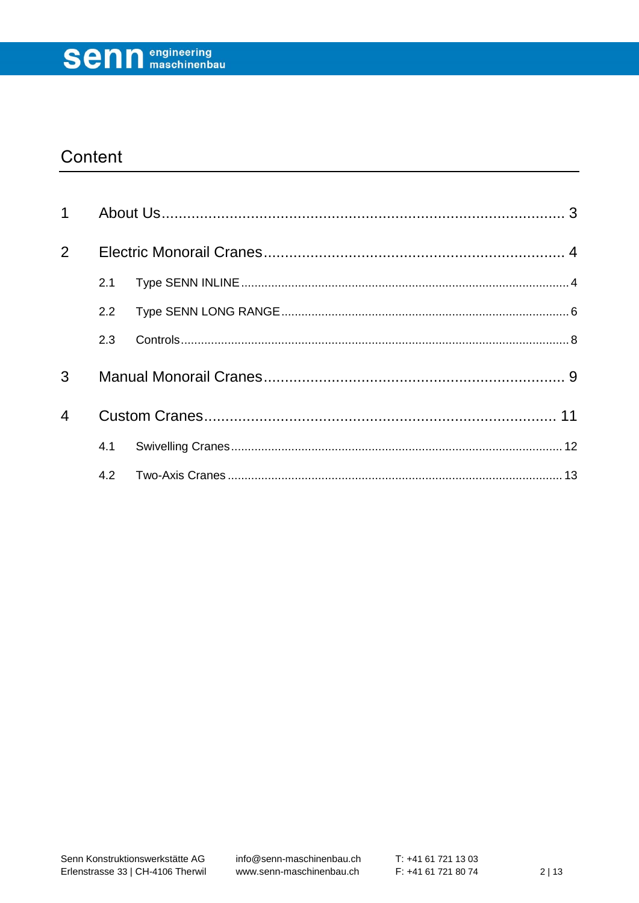

### Content

| $\mathbf 1$    |     |  |
|----------------|-----|--|
| 2              |     |  |
|                | 2.1 |  |
|                | 2.2 |  |
|                | 2.3 |  |
| 3              |     |  |
| $\overline{4}$ |     |  |
|                | 4.1 |  |
|                |     |  |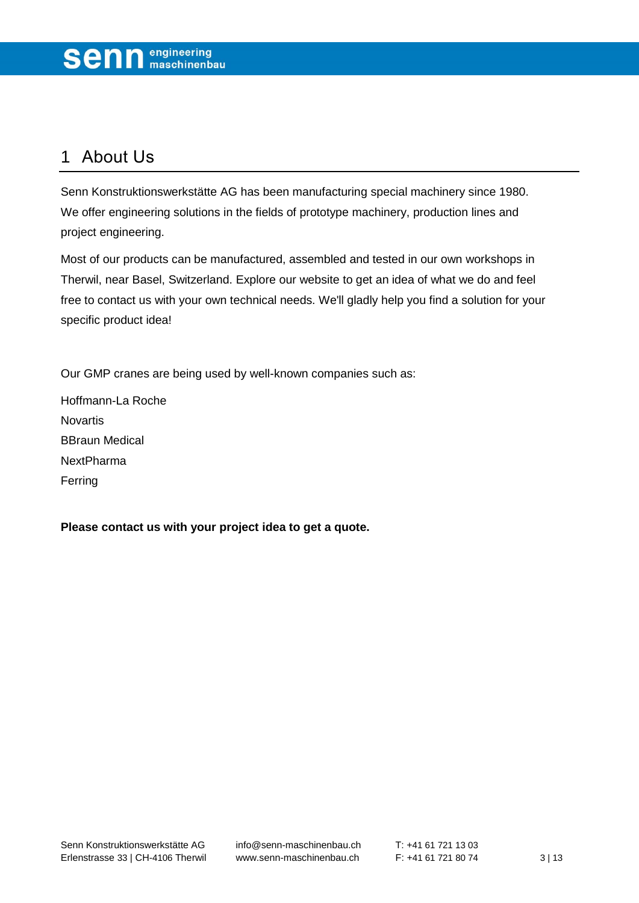### <span id="page-2-0"></span>1 About Us

Senn Konstruktionswerkstätte AG has been manufacturing special machinery since 1980. We offer engineering solutions in the fields of prototype machinery, production lines and project engineering.

Most of our products can be manufactured, assembled and tested in our own workshops in Therwil, near Basel, Switzerland. Explore our website to get an idea of what we do and feel free to contact us with your own technical needs. We'll gladly help you find a solution for your specific product idea!

Our GMP cranes are being used by well-known companies such as:

Hoffmann-La Roche Novartis BBraun Medical NextPharma Ferring

**Please contact us with your project idea to get a quote.**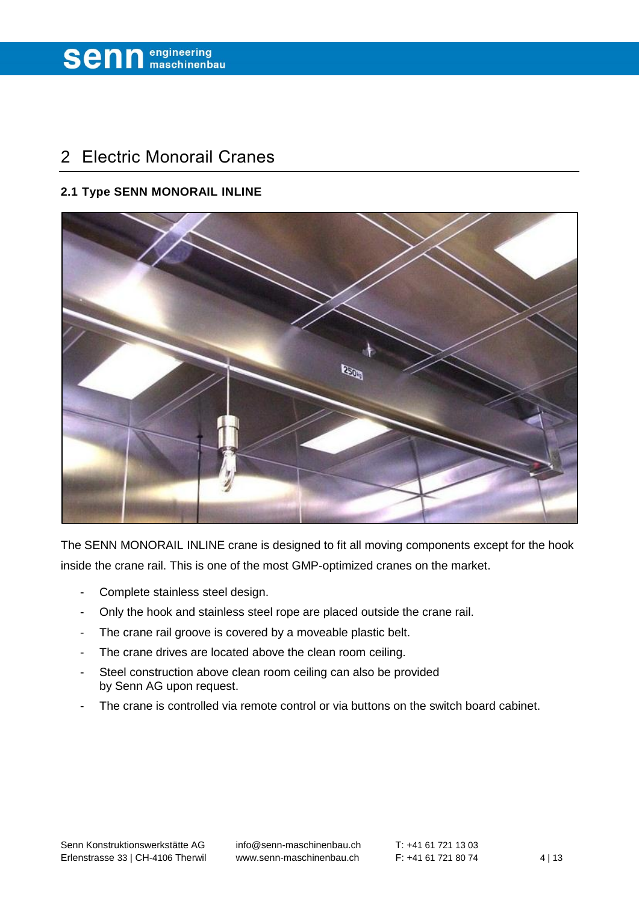### <span id="page-3-0"></span>2 Electric Monorail Cranes

#### <span id="page-3-1"></span>**2.1 Type SENN MONORAIL INLINE**



The SENN MONORAIL INLINE crane is designed to fit all moving components except for the hook inside the crane rail. This is one of the most GMP-optimized cranes on the market.

- Complete stainless steel design.
- Only the hook and stainless steel rope are placed outside the crane rail.
- The crane rail groove is covered by a moveable plastic belt.
- The crane drives are located above the clean room ceiling.
- Steel construction above clean room ceiling can also be provided by Senn AG upon request.
- The crane is controlled via remote control or via buttons on the switch board cabinet.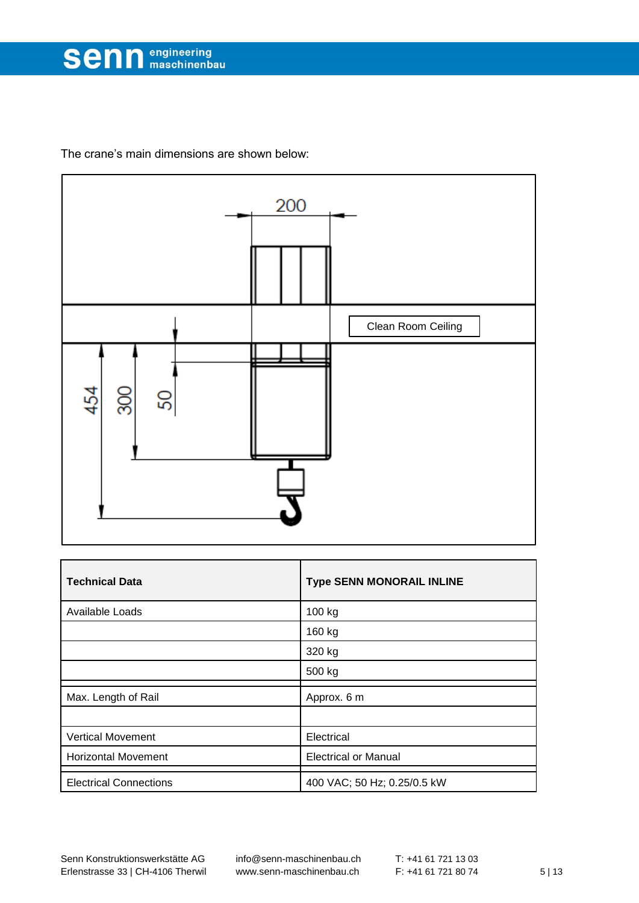

The crane's main dimensions are shown below:



| <b>Technical Data</b>         | <b>Type SENN MONORAIL INLINE</b> |
|-------------------------------|----------------------------------|
| Available Loads               | 100 kg                           |
|                               | 160 kg                           |
|                               | 320 kg                           |
|                               | 500 kg                           |
| Max. Length of Rail           | Approx. 6 m                      |
|                               |                                  |
| <b>Vertical Movement</b>      | Electrical                       |
| <b>Horizontal Movement</b>    | <b>Electrical or Manual</b>      |
| <b>Electrical Connections</b> | 400 VAC; 50 Hz; 0.25/0.5 kW      |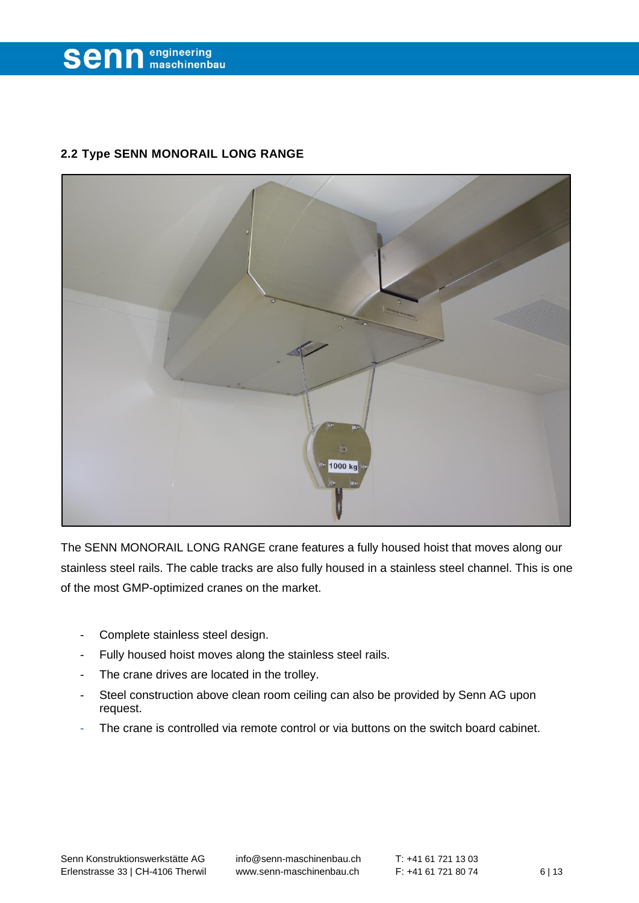

#### <span id="page-5-0"></span>**2.2 Type SENN MONORAIL LONG RANGE**



The SENN MONORAIL LONG RANGE crane features a fully housed hoist that moves along our stainless steel rails. The cable tracks are also fully housed in a stainless steel channel. This is one of the most GMP-optimized cranes on the market.

- Complete stainless steel design.
- Fully housed hoist moves along the stainless steel rails.
- The crane drives are located in the trolley.
- Steel construction above clean room ceiling can also be provided by Senn AG upon request.
- The crane is controlled via remote control or via buttons on the switch board cabinet.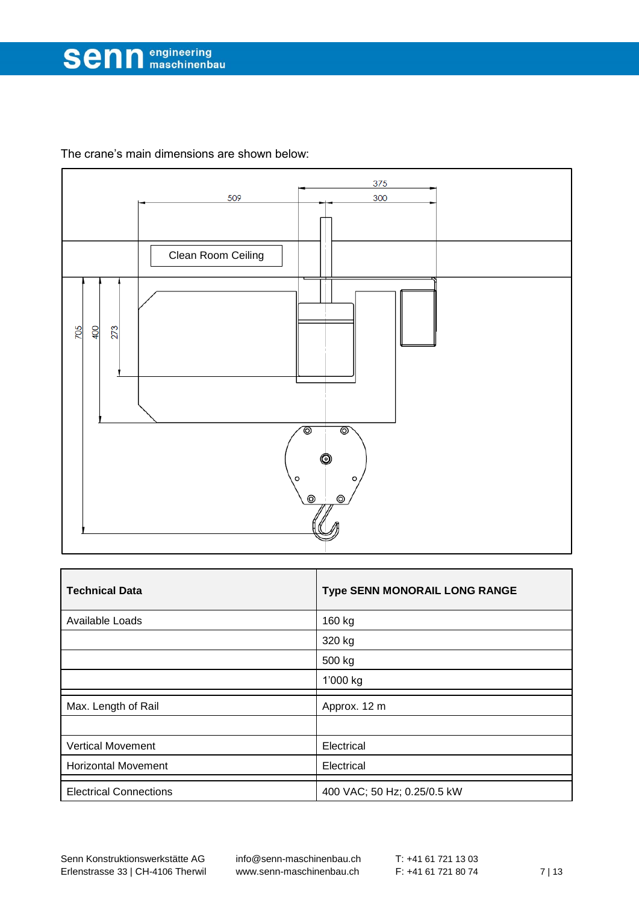The crane's main dimensions are shown below:



<span id="page-6-0"></span>

| <b>Technical Data</b>         | Type SENN MONORAIL LONG RANGE |
|-------------------------------|-------------------------------|
| Available Loads               | 160 kg                        |
|                               | 320 kg                        |
|                               | 500 kg                        |
|                               | 1'000 kg                      |
| Max. Length of Rail           | Approx. 12 m                  |
|                               |                               |
| <b>Vertical Movement</b>      | Electrical                    |
| <b>Horizontal Movement</b>    | Electrical                    |
| <b>Electrical Connections</b> | 400 VAC; 50 Hz; 0.25/0.5 kW   |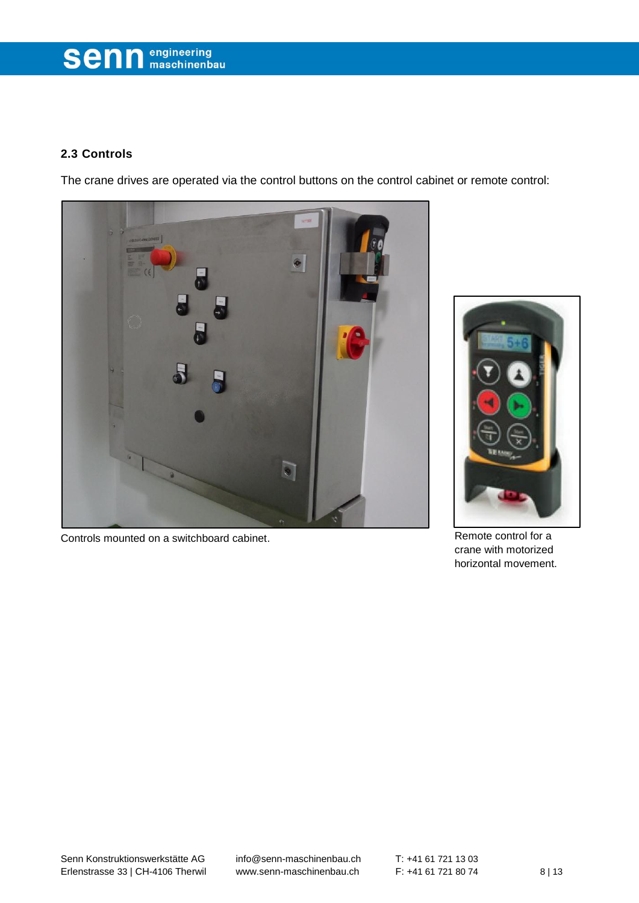# **Senn** engineering

#### **2.3 Controls**

The crane drives are operated via the control buttons on the control cabinet or remote control:



Controls mounted on a switchboard cabinet. Control Formulation and Remote control for a



crane with motorized horizontal movement.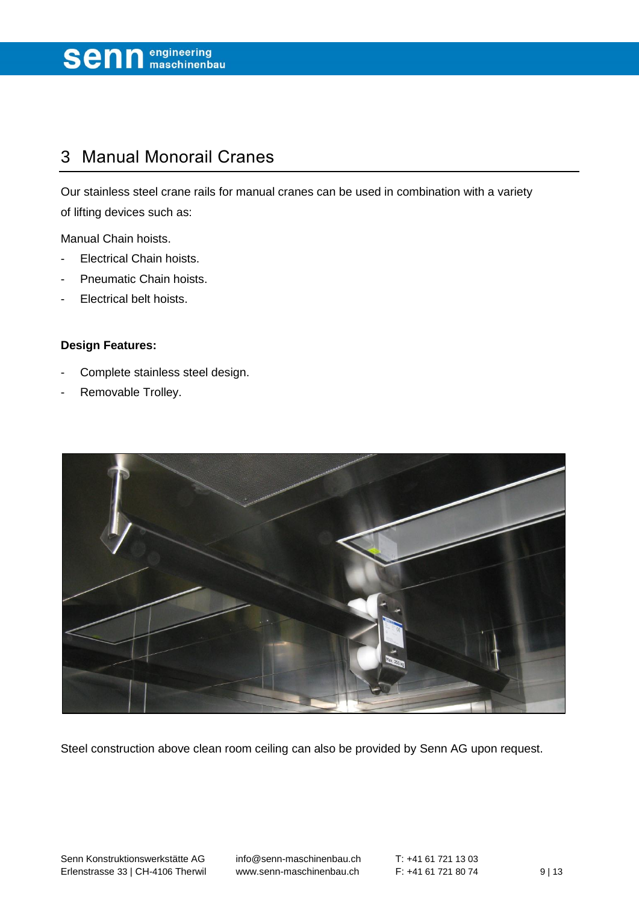

### <span id="page-8-0"></span>3 Manual Monorail Cranes

Our stainless steel crane rails for manual cranes can be used in combination with a variety of lifting devices such as:

Manual Chain hoists.

- Electrical Chain hoists.
- Pneumatic Chain hoists.
- Electrical belt hoists.

#### **Design Features:**

- Complete stainless steel design.
- Removable Trolley.



Steel construction above clean room ceiling can also be provided by Senn AG upon request.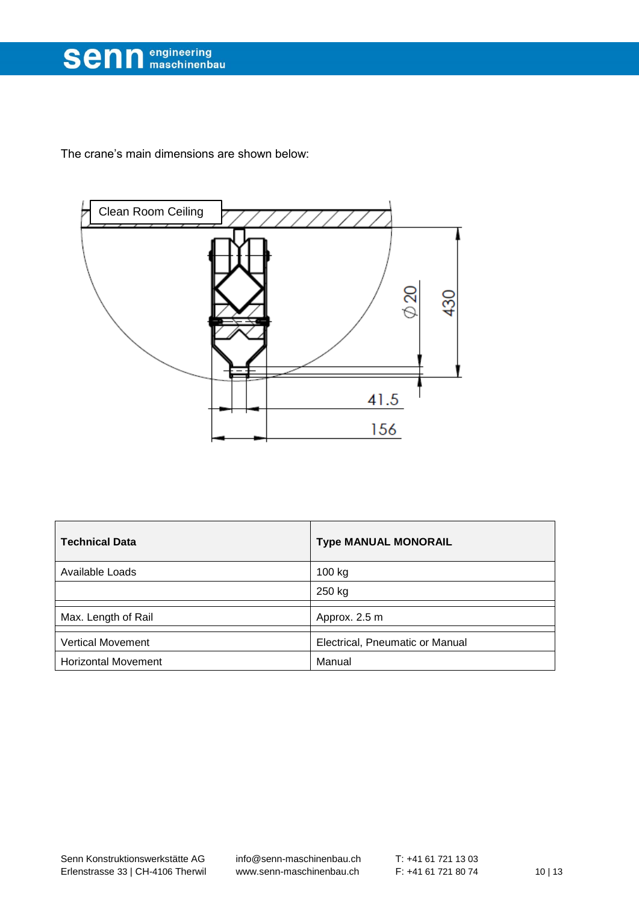

The crane's main dimensions are shown below:



| <b>Technical Data</b>      | <b>Type MANUAL MONORAIL</b>     |
|----------------------------|---------------------------------|
| Available Loads            | 100 kg                          |
|                            | 250 kg                          |
| Max. Length of Rail        | Approx. 2.5 m                   |
| <b>Vertical Movement</b>   | Electrical, Pneumatic or Manual |
| <b>Horizontal Movement</b> | Manual                          |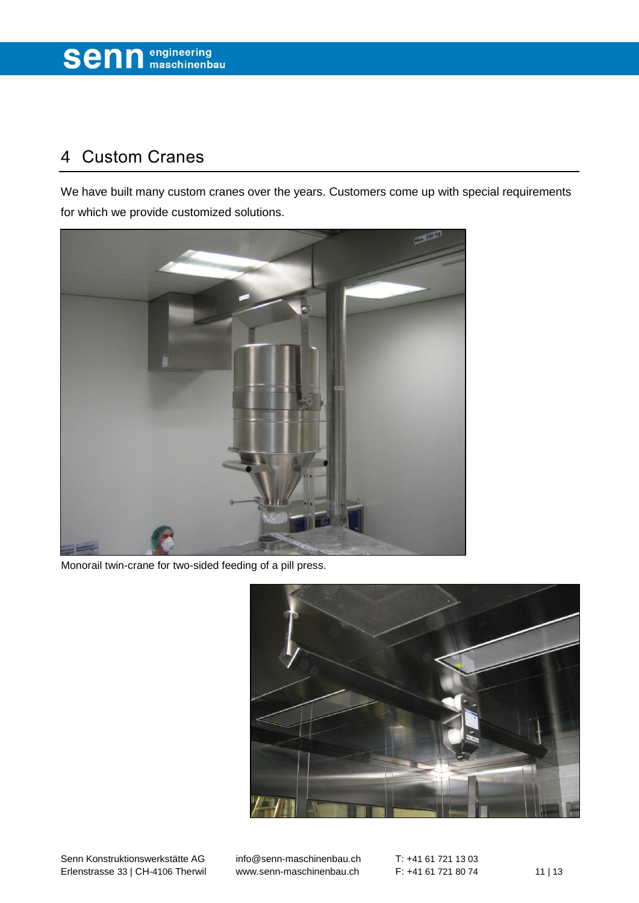## <span id="page-10-0"></span>4 Custom Cranes

We have built many custom cranes over the years. Customers come up with special requirements for which we provide customized solutions.



Monorail twin-crane for two-sided feeding of a pill press.

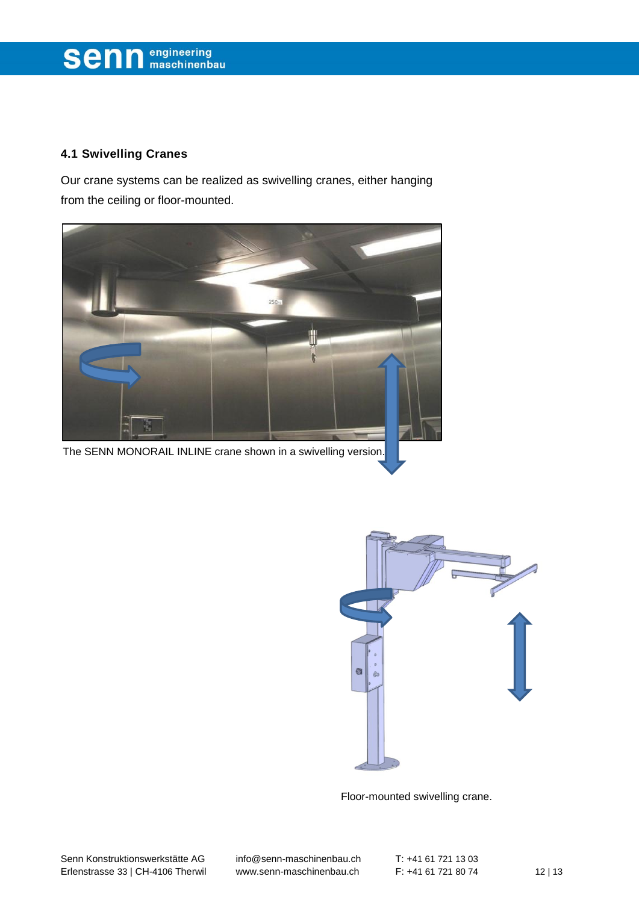## **Senn** engineering

### <span id="page-11-0"></span>**4.1 Swivelling Cranes**

Our crane systems can be realized as swivelling cranes, either hanging from the ceiling or floor-mounted.





Floor-mounted swivelling crane.

Senn Konstruktionswerkstätte AG [info@senn-maschinenbau.ch](mailto:info@senn-maschinenbau.ch) T: +41 61 721 13 03 Erlenstrasse 33 | CH-4106 Therwil [www.senn-maschinenbau.ch](http://www.senn-maschinenbau.ch/) F: +41 61 721 80 74 12 | 13